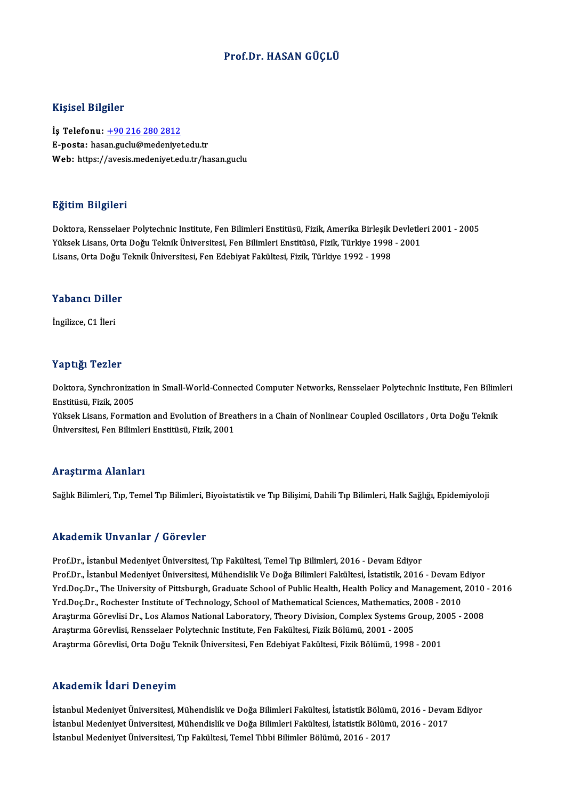# Prof.Dr.HASAN GÜÇLÜ

## Kişisel Bilgiler

İş Telefonu: +90 216 280 2812 E-posta: has[an.guclu@medeniye](tel:+90 216 280 2812)t.edu.tr Web: https://avesis.medeniyet.edu.tr/hasan.guclu

## Eğitim Bilgileri

Doktora, Rensselaer Polytechnic Institute, Fen Bilimleri Enstitüsü, Fizik, Amerika Birleşik Devletleri 2001 - 2005 23.<br>Doktora, Rensselaer Polytechnic Institute, Fen Bilimleri Enstitüsü, Fizik, Amerika Birleşik Devletle<br>Yüksek Lisans, Orta Doğu Teknik Üniversitesi, Fen Bilimleri Enstitüsü, Fizik, Türkiye 1998 - 2001<br>Lisans, Orta Doğu T Doktora, Rensselaer Polytechnic Institute, Fen Bilimleri Enstitüsü, Fizik, Amerika Birleşik l<br>Yüksek Lisans, Orta Doğu Teknik Üniversitesi, Fen Bilimleri Enstitüsü, Fizik, Türkiye 1998<br>Lisans, Orta Doğu Teknik Üniversitesi Lisans, Orta Doğu Teknik Üniversitesi, Fen Edebiyat Fakültesi, Fizik, Türkiye 1992 - 1998<br>Yabancı Diller

İngilizce,C1 İleri

## Yaptığı Tezler

Yaptığı Tezler<br>Doktora, Synchronization in Small-World-Connected Computer Networks, Rensselaer Polytechnic Institute, Fen Bilimleri<br>Fratitüsü, Firik, 2005 enstitüsü, Synchronizat<br>Enstitüsü, Fizik, 2005<br>Vülgek Lisans, Forma Doktora, Synchronization in Small-World-Connected Computer Networks, Rensselaer Polytechnic Institute, Fen Bilim<br>Enstitüsü, Fizik, 2005<br>Yüksek Lisans, Formation and Evolution of Breathers in a Chain of Nonlinear Coupled Os

Enstitüsü, Fizik, 2005<br>Yüksek Lisans, Formation and Evolution of Breathers in a Chain of Nonlinear Coupled Oscillators , Orta Doğu Teknik<br>Üniversitesi, Fen Bilimleri Enstitüsü, Fizik, 2001

## Araştırma Alanları

Sağlık Bilimleri, Tıp, Temel Tıp Bilimleri, Biyoistatistik ve Tıp Bilişimi, Dahili Tıp Bilimleri, Halk Sağlığı, Epidemiyoloji

## Akademik Unvanlar / Görevler

Prof.Dr., İstanbul Medeniyet Üniversitesi, Tıp Fakültesi, Temel Tıp Bilimleri, 2016 - Devam Ediyor rındu olirin "Olivulmalı" yı "Olivulmalı"<br>Prof.Dr., İstanbul Medeniyet Üniversitesi, Tıp Fakültesi, Temel Tıp Bilimleri, 2016 - Devam Ediyor<br>Prof.Dr., İstanbul Medeniyet Üniversitesi, Mühendislik Ve Doğa Bilimleri Fakültes Yrd.Doç.Dr., The University of Pittsburgh, Graduate School of Public Health, Health Policy and Management, 2010 - 2016<br>Yrd.Doç.Dr., Rochester Institute of Technology, School of Mathematical Sciences, Mathematics, 2008 - 20 Prof.Dr., İstanbul Medeniyet Üniversitesi, Mühendislik Ve Doğa Bilimleri Fakültesi, İstatistik, 2016 - Devam E<br>Yrd.Doç.Dr., The University of Pittsburgh, Graduate School of Public Health, Health Policy and Management,<br>Yrd. Yrd.Doç.Dr., The University of Pittsburgh, Graduate School of Public Health, Health Policy and Management, 2010<br>Yrd.Doç.Dr., Rochester Institute of Technology, School of Mathematical Sciences, Mathematics, 2008 - 2010<br>Araş Yrd,Doç,Dr., Rochester Institute of Technology, School of Mathematical Sciences, Mathematics, 2<br>Araştırma Görevlisi, Dr., Los Alamos National Laboratory, Theory Division, Complex Systems Gr<br>Araştırma Görevlisi, Rensselaer Araştırma Görevlisi Dr., Los Alamos National Laboratory, Theory Division, Complex Systems Group, 20<br>Araştırma Görevlisi, Rensselaer Polytechnic Institute, Fen Fakültesi, Fizik Bölümü, 2001 - 2005<br>Araştırma Görevlisi, Orta Araştırma Görevlisi, Orta Doğu Teknik Üniversitesi, Fen Edebiyat Fakültesi, Fizik Bölümü, 1998 - 2001<br>Akademik İdari Deneyim

Akademik İdari Deneyim<br>İstanbul Medeniyet Üniversitesi, Mühendislik ve Doğa Bilimleri Fakültesi, İstatistik Bölümü, 2016 - Devam Ediyor<br>İstanbul Medeniyet Üniversitesi, Mühendislik ve Doğa Bilimleri Fakültesi, İstatistik B İstanbul Medeniyet Üniversitesi, Mühendislik ve Doğa Bilimleri Fakültesi, İstatistik Bölümü, 2016 - Devan<br>İstanbul Medeniyet Üniversitesi, Mühendislik ve Doğa Bilimleri Fakültesi, İstatistik Bölümü, 2016 - 2017<br>İstanbul Me İstanbul Medeniyet Üniversitesi, Mühendislik ve Doğa Bilimleri Fakültesi, İstatistik Bölüm<br>İstanbul Medeniyet Üniversitesi, Mühendislik ve Doğa Bilimleri Fakültesi, İstatistik Bölüm<br>İstanbul Medeniyet Üniversitesi, Tıp Fak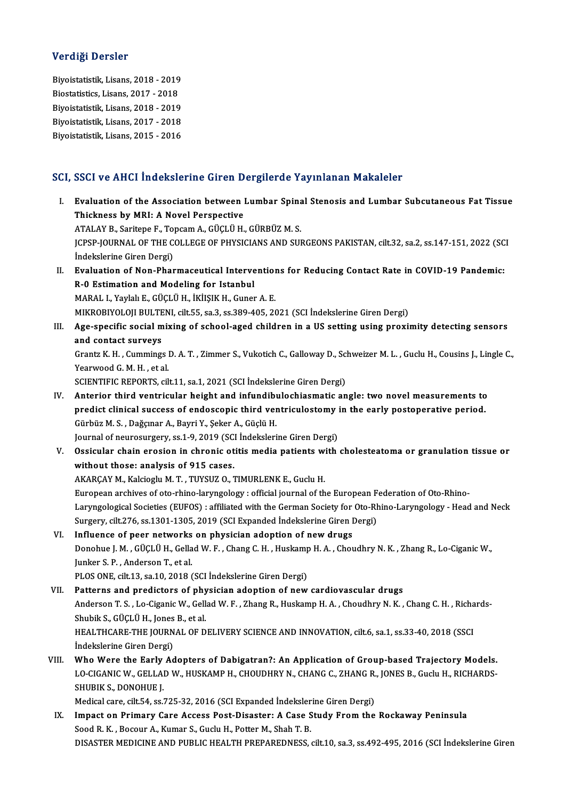## Verdiği Dersler

Biyoistatistik,Lisans,2018 -2019 Biostatistics, Lisans, 2017 - 2018 Biyoistatistik, Lisans, 2018 - 2019<br>Biostatistics, Lisans, 2017 - 2018<br>Biyoistatistik, Lisans, 2018 - 2019<br>Bivoistatistik, Lisans, 2017 - 2019 Biostatistics, Lisans, 2017 - 2018<br>Biyoistatistik, Lisans, 2018 - 2019<br>Biyoistatistik, Lisans, 2017 - 2018<br>Biyoistatistik, Lisans, 2015 - 2016 Biyoistatistik, Lisans, 2018 - 2019<br>Biyoistatistik, Lisans, 2017 - 2018<br>Biyoistatistik, Lisans, 2015 - 2016

# Biyoistatistik, Lisans, 2015 - 2016<br>SCI, SSCI ve AHCI İndekslerine Giren Dergilerde Yayınlanan Makaleler

- CI, SSCI ve AHCI İndekslerine Giren Dergilerde Yayınlanan Makaleler<br>I. Evaluation of the Association between Lumbar Spinal Stenosis and Lumbar Subcutaneous Fat Tissue<br>Thiskness by MPL A Nevel Berspective Evaluation of the Association between |<br>Thickness by MRI: A Novel Perspective<br>ATALAY B. Saritone E. Tengam A. CUCLU H Evaluation of the Association between Lumbar Spina<br>Thickness by MRI: A Novel Perspective<br>ATALAY B., Saritepe F., Topcam A., GÜÇLÜ H., GÜRBÜZ M. S.<br>JCRSP JOURNAL OF THE COLLECE OF PHYSICIANS AND SUL Thickness by MRI: A Novel Perspective<br>ATALAY B., Saritepe F., Topcam A., GÜÇLÜ H., GÜRBÜZ M. S.<br>JCPSP-JOURNAL OF THE COLLEGE OF PHYSICIANS AND SURGEONS PAKISTAN, cilt.32, sa.2, ss.147-151, 2022 (SCI<br>İndekslerine Ciren Derg ATALAY B., Saritepe F., To<br>JCPSP-JOURNAL OF THE C<br>İndekslerine Giren Dergi)<br>Evaluation of Non-Bhar I . JCPSP-JOURNAL OF THE COLLEGE OF PHYSICIANS AND SURGEONS PAKISTAN, cilt.32, sa.2, ss.147-151, 2022 (SC<br>Indekslerine Giren Dergi)<br>II. Evaluation of Non-Pharmaceutical Interventions for Reducing Contact Rate in COVID-19 P İndekslerine Giren Dergi)<br>Evaluation of Non-Pharmaceutical Interve<br>R-0 Estimation and Modeling for Istanbul<br>MARAL L Yovlak E. CÜCLÜ H. İktisik H. Gunet Evaluation of Non-Pharmaceutical Intervention<br>R-0 Estimation and Modeling for Istanbul<br>MARAL I., Yaylalı E., GÜÇLÜ H., İKİIŞIK H., Guner A. E.<br>MIKROPIYOLOU PULTENL silt 55, 89,2, 89,290, 405, 20 R-0 Estimation and Modeling for Istanbul<br>MARAL I., Yaylalı E., GÜÇLÜ H., İKİIŞIK H., Guner A. E.<br>MIKROBIYOLOJI BULTENI, cilt.55, sa.3, ss.389-405, 2021 (SCI İndekslerine Giren Dergi) MARAL I., Yaylah E., GÜÇLÜ H., İKİIŞIK H., Guner A. E.<br>MIKROBIYOLOJI BULTENI, cilt.55, sa.3, ss.389-405, 2021 (SCI İndekslerine Giren Dergi)<br>III. Age-specific social mixing of school-aged children in a US setting using MIKROBIYOLOJI BULTE<br>Age-specific social m<br>and contact surveys Age-specific social mixing of school-aged children in a US setting using proximity detecting sensors<br>and contact surveys<br>Grantz K. H. , Cummings D. A. T. , Zimmer S., Vukotich C., Galloway D., Schweizer M. L. , Guclu H., C and contact surveys<br>Grantz K. H. , Cummings D. A. T. , Zimmer S., Vukotich C., Galloway D., Schweizer M. L. , Guclu H., Cousins J., Lingle C.,<br>Yearwood G. M. H. , et al. SCIENTIFIC REPORTS, cilt.11, sa.1, 2021 (SCI İndekslerine Giren Dergi) Yearwood G. M. H. , et al.<br>SCIENTIFIC REPORTS, cilt.11, sa.1, 2021 (SCI indekslerine Giren Dergi)<br>IV. Anterior third ventricular height and infundibulochiasmatic angle: two novel measurements to<br>nuclist clinical success of SCIENTIFIC REPORTS, cilt.11, sa.1, 2021 (SCI İndekslerine Giren Dergi)<br>Anterior third ventricular height and infundibulochiasmatic angle: two novel measurements to<br>predict clinical success of endoscopic third ventriculosto Anterior third ventricular height and infundibly<br>predict clinical success of endoscopic third ven<br>Gürbüz M. S., Dağçınar A., Bayri Y., Şeker A., Güçlü H.<br>Journal of nourgeurgery, ss 1, 9, 2019 (SSL Indeksleri predict clinical success of endoscopic third ventriculostomy in the early postoperative period.<br>Gürbüz M. S. , Dağçınar A., Bayri Y., Şeker A., Güçlü H.<br>Journal of neurosurgery, ss.1-9, 2019 (SCI İndekslerine Giren Dergi) Gürbüz M. S. , Dağçınar A., Bayri Y., Şeker A., Güçlü H.<br>Journal of neurosurgery, ss.1-9, 2019 (SCI İndekslerine Giren Dergi)<br>V. Ossicular chain erosion in chronic otitis media patients with cholesteatoma or granulatio Journal of neurosurgery, ss.1-9, 2019 (SC)<br>Ossicular chain erosion in chronic ot<br>without those: analysis of 915 cases.<br>AKABCAY M. Kolsiogly M.T., TUNSUZ O. 3 Ossicular chain erosion in chronic otitis media patients w<br>without those: analysis of 915 cases.<br>AKARÇAY M., Kalcioglu M.T., TUYSUZ O., TIMURLENK E., Guclu H.<br>European archives of oto rhine larungelegy : official journal o without those: analysis of 915 cases.<br>AKARÇAY M., Kalcioglu M. T. , TUYSUZ O., TIMURLENK E., Guclu H.<br>European archives of oto-rhino-laryngology : official journal of the European Federation of Oto-Rhino-<br>Laryngological So AKARÇAY M., Kalcioglu M. T. , TUYSUZ O., TIMURLENK E., Guclu H.<br>European archives of oto-rhino-laryngology : official journal of the European Federation of Oto-Rhino-Laryngological Societies (EUFOS) : affiliated with the G European archives of oto-rhino-laryngology : official journal of the European F<br>Laryngological Societies (EUFOS) : affiliated with the German Society for Oto-Rh<br>Surgery, cilt.276, ss.1301-1305, 2019 (SCI Expanded İndeksler Laryngological Societies (EUFOS) : affiliated with the German Society for<br>Surgery, cilt.276, ss.1301-1305, 2019 (SCI Expanded Indekslerine Giren I<br>VI. Influence of peer networks on physician adoption of new drugs<br>Depending Donohue J. M. , GÜÇLÜ H., Gellad W. F. , Chang C. H. , Huskamp H. A. , Choudhry N. K. , Zhang R., Lo-Ciganic W.,<br>Junker S. P. , Anderson T., et al. Influence of peer networks<br>Donohue J. M. , GÜÇLÜ H., Gella<br>Junker S. P. , Anderson T., et al.<br>PLOS ONE silt 12, 82,10, 2018 ( PLOS ONE, cilt.13, sa.10, 2018 (SCI İndekslerine Giren Dergi) VII. Patterns and predictors of physician adoption of new cardiovascular drugs PLOS ONE, cilt.13, sa.10, 2018 (SCI İndekslerine Giren Dergi)<br>Patterns and predictors of physician adoption of new cardiovascular drugs<br>Anderson T. S. , Lo-Ciganic W., Gellad W. F. , Zhang R., Huskamp H. A. , Choudhry N. K Patterns and predictors of phy<br>Anderson T. S. , Lo-Ciganic W., Gell<br>Shubik S., GÜÇLÜ H., Jones B., et al.<br>HEALTHCAPE THE JOUPMAL OF D Anderson T. S. , Lo-Ciganic W., Gellad W. F. , Zhang R., Huskamp H. A. , Choudhry N. K. , Chang C. H. , Richa<br>Shubik S., GÜÇLÜ H., Jones B., et al.<br>HEALTHCARE-THE JOURNAL OF DELIVERY SCIENCE AND INNOVATION, cilt.6, sa.1, s Shubik S., GÜÇLÜ H., Jones<br>HEALTHCARE-THE JOURN<br>İndekslerine Giren Dergi)<br>Who Wore the Early Ad HEALTHCARE-THE JOURNAL OF DELIVERY SCIENCE AND INNOVATION, cilt.6, sa.1, ss.33-40, 2018 (SSCI<br>Indekslerine Giren Dergi)<br>VIII. Who Were the Early Adopters of Dabigatran?: An Application of Group-based Trajectory Models.<br>J.O İndekslerine Giren Dergi)<br>Who Were the Early Adopters of Dabigatran?: An Application of Group-based Trajectory Models.<br>LO-CIGANIC W., GELLAD W., HUSKAMP H., CHOUDHRY N., CHANG C., ZHANG R., JONES B., Guclu H., RICHARDS-<br>SH Who Were the Early<br>LO-CIGANIC W., GELLA<br>SHUBIK S., DONOHUE J.<br>Medical care, silt 54, ss. LO-CIGANIC W., GELLAD W., HUSKAMP H., CHOUDHRY N., CHANG C., ZHANG R.<br>SHUBIK S., DONOHUE J.<br>Medical care, cilt.54, ss.725-32, 2016 (SCI Expanded İndekslerine Giren Dergi)<br>Imnast on Primary Care Assess Best Disaster: A Case SHUBIK S., DONOHUE J.<br>Medical care, cilt.54, ss.725-32, 2016 (SCI Expanded Indekslerine Giren Dergi)<br>IX. Impact on Primary Care Access Post-Disaster: A Case Study From the Rockaway Peninsula<br>Sood R. K. , Bocour A., Kumar S
	- Medical care, cilt.54, ss.725-32, 2016 (SCI Expanded Indeksler<br>Impact on Primary Care Access Post-Disaster: A Case S<br>Sood R. K. , Bocour A., Kumar S., Guclu H., Potter M., Shah T. B.<br>DISASTER MEDICINE AND RUPLIC HEALTH PRE DISASTER MEDICINE AND PUBLIC HEALTH PREPAREDNESS, cilt.10, sa.3, ss.492-495, 2016 (SCI İndekslerine Giren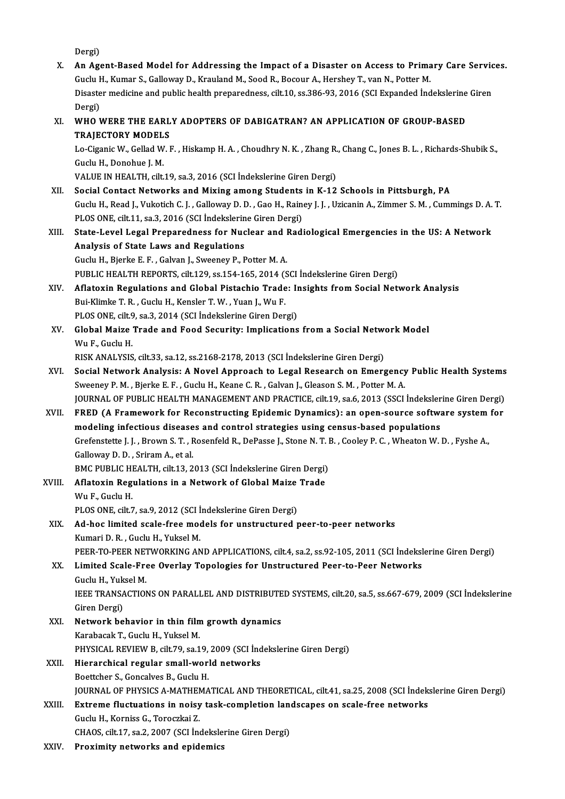Dergi)

Dergi)<br>X. An Agent-Based Model for Addressing the Impact of a Disaster on Access to Primary Care Services.<br>Cushi H. Kumar S. Colloway D. Knouland M. Soed B. Bogour A. Harshoy T. van N. Pottor M. Dergi)<br><mark>An Agent-Based Model for Addressing the Impact of a Disaster on Access to Prima</mark><br>Guclu H., Kumar S., Galloway D., Krauland M., Sood R., Bocour A., Hershey T., van N., Potter M.<br>Disaster medisine and publis bealth p An Agent-Based Model for Addressing the Impact of a Disaster on Access to Primary Care Servic<br>Guclu H., Kumar S., Galloway D., Krauland M., Sood R., Bocour A., Hershey T., van N., Potter M.<br>Disaster medicine and public hea Guclu H., Kumar S., Galloway D., Krauland M., Sood R., Bocour A., Hershey T., van N., Potter M.<br>Disaster medicine and public health preparedness, cilt.10, ss.386-93, 2016 (SCI Expanded Indekslerine Giren<br>Dergi) Disaster medicine and public health preparedness, cilt.10, ss.386-93, 2016 (SCI Expanded Indekslerine<br>Dergi)<br>XI. WHO WERE THE EARLY ADOPTERS OF DABIGATRAN? AN APPLICATION OF GROUP-BASED<br>TRAIECTORY MODELS Dergi)<br>WHO WERE THE EARL<br>TRAJECTORY MODELS<br>Le Cirenie W. Celled W. L WHO WERE THE EARLY ADOPTERS OF DABIGATRAN? AN APPLICATION OF GROUP-BASED<br>TRAJECTORY MODELS<br>Lo-Ciganic W., Gellad W. F. , Hiskamp H. A. , Choudhry N. K. , Zhang R., Chang C., Jones B. L. , Richards-Shubik S.,<br>Cuclu H. Deneb **TRAJECTORY MODEL<br>Lo-Ciganic W., Gellad W.<br>Guclu H., Donohue J. M.**<br>VALUE IN HEALTH. silt. Guclu H., Donohue J. M.<br>VALUE IN HEALTH, cilt.19, sa.3, 2016 (SCI İndekslerine Giren Dergi) Guclu H., Donohue J. M.<br>VALUE IN HEALTH, cilt.19, sa.3, 2016 (SCI Indekslerine Giren Dergi)<br>XII. Social Contact Networks and Mixing among Students in K-12 Schools in Pittsburgh, PA Guclu H., Read J., Vukotich C. J. , Galloway D. D. , Gao H., Rainey J. J. , Uzicanin A., Zimmer S. M. , Cummings D. A. T.<br>PLOS ONE, cilt 11, sa.3, 2016 (SCI İndekslerine Giren Dergi) Social Contact Networks and Mixing among Students<br>Guclu H., Read J., Vukotich C. J. , Galloway D. D. , Gao H., Raine<br>PLOS ONE, cilt.11, sa.3, 2016 (SCI İndekslerine Giren Dergi)<br>State Javal Legal Preparadness for Nuclear a Guclu H., Read J., Vukotich C. J. , Galloway D. D. , Gao H., Rainey J. J. , Uzicanin A., Zimmer S. M. , Cummings D. A.<br>PLOS ONE, cilt.11, sa.3, 2016 (SCI Indekslerine Giren Dergi)<br>XIII. State-Level Legal Preparedness for N PLOS ONE, cilt.11, sa.3, 2016 (SCI Indekslerin<br>State-Level Legal Preparedness for Nuc<br>Analysis of State Laws and Regulations<br>Cushi H. Biarlia E. E. Calvan L. Surenov P. E Analysis of State Laws and Regulations<br>Guclu H., Bjerke E. F., Galvan J., Sweeney P., Potter M. A. Analysis of State Laws and Regulations<br>Guclu H., Bjerke E. F. , Galvan J., Sweeney P., Potter M. A.<br>PUBLIC HEALTH REPORTS, cilt.129, ss.154-165, 2014 (SCI İndekslerine Giren Dergi)<br>Aflatevin Regulations and Clobal Bistasbi XIV. Aflatoxin Regulations and Global Pistachio Trade: Insights from Social Network Analysis<br>Bui-Klimke T. R., Guclu H., Kensler T. W., Yuan J., Wu F. PUBLIC HEALTH REPORTS, cilt.129, ss.154-165, 2014 (S. Aflatoxin Regulations and Global Pistachio Trade<br>Bui-Klimke T. R. , Guclu H., Kensler T. W. , Yuan J., Wu F. Aflatoxin Regulations and Global Pistachio Trade: In<br>Bui-Klimke T. R. , Guclu H., Kensler T. W. , Yuan J., Wu F.<br>PLOS ONE, cilt.9, sa.3, 2014 (SCI İndekslerine Giren Dergi)<br>Clabal Maire Trade and Feod Segurity, Implication Bui-Klimke T. R. , Guclu H., Kensler T. W. , Yuan J., Wu F.<br>PLOS ONE, cilt.9, sa.3, 2014 (SCI İndekslerine Giren Dergi)<br>XV. Global Maize Trade and Food Security: Implications from a Social Network Model<br>W. E. Cuclu H PLOS ONE, cilt.9<br>Global Maize<br>Wu F., Guclu H.<br>PISK ANAI VSIS Global Maize Trade and Food Security: Implications from a Social Netwo<br>Wu F., Guclu H.<br>RISK ANALYSIS, cilt.33, sa.12, ss.2168-2178, 2013 (SCI İndekslerine Giren Dergi)<br>Social Network Analysis: A Nevel Annreach to Legal Bes Wu F., Guclu H.<br>RISK ANALYSIS, cilt.33, sa.12, ss.2168-2178, 2013 (SCI İndekslerine Giren Dergi)<br>XVI. Social Network Analysis: A Novel Approach to Legal Research on Emergency Public Health Systems<br>Sweepey B.M., Bierke E.E. RISK ANALYSIS, cilt.33, sa.12, ss.2168-2178, 2013 (SCI İndekslerine Giren Dergi)<br>Social Network Analysis: A Novel Approach to Legal Research on Emergency<br>Sweeney P. M. , Bjerke E. F. , Guclu H., Keane C. R. , Galvan J., Gl Social Network Analysis: A Novel Approach to Legal Research on Emergency Public Health Systems<br>Sweeney P. M. , Bjerke E. F. , Guclu H., Keane C. R. , Galvan J., Gleason S. M. , Potter M. A.<br>JOURNAL OF PUBLIC HEALTH MANAGEM Sweeney P. M., Bjerke E. F., Guclu H., Keane C. R., Galvan J., Gleason S. M., Potter M. A.<br>JOURNAL OF PUBLIC HEALTH MANAGEMENT AND PRACTICE, cilt.19, sa.6, 2013 (SSCI Indekslerine Giren Dergi)<br>XVII. FRED (A Framework for R JOURNAL OF PUBLIC HEALTH MANAGEMENT AND PRACTICE, cilt.19, sa.6, 2013 (SSCI Indeksler<br>FRED (A Framework for Reconstructing Epidemic Dynamics): an open-source software<br>modeling infectious diseases and control strategies usi FRED (A Framework for Reconstructing Epidemic Dynamics): an open-source software system<br>modeling infectious diseases and control strategies using census-based populations<br>Grefenstette J. J. , Brown S. T. , Rosenfeld R., De modeling infectious disease<br>Grefenstette J. J., Brown S. T., F<br>Galloway D. D., Sriram A., et al.<br>PMC PUPLIC HEALTH silt 12.2 Grefenstette J. J. , Brown S. T. , Rosenfeld R., DePasse J., Stone N. T. I<br>Galloway D. D. , Sriram A., et al.<br>BMC PUBLIC HEALTH, cilt.13, 2013 (SCI İndekslerine Giren Dergi)<br>Aflatovin Bosulationa in a Natural: of Glabel Ma Galloway D. D. , Sriram A., et al.<br>BMC PUBLIC HEALTH, cilt.13, 2013 (SCI İndekslerine Giren Dergi)<br>XVIII. Aflatoxin Regulations in a Network of Global Maize Trade BMC PUBLIC HI<br>Aflatoxin Reg<br>Wu F., Guclu H.<br>PLOS ONE silt 7 Aflatoxin Regulations in a Network of Global Maize<br>Wu F., Guclu H.<br>PLOS ONE, cilt.7, sa.9, 2012 (SCI İndekslerine Giren Dergi)<br>Ad bas limited ssala fase madels far unstructured r Wu F., Guclu H.<br>PLOS ONE, cilt.7, sa.9, 2012 (SCI Indekslerine Giren Dergi)<br>XIX. Ad-hoc limited scale-free models for unstructured peer-to-peer networks PLOS ONE, cilt.7, sa.9, 2012 (SCI I<br>Ad-hoc limited scale-free moo<br>Kumari D. R. , Guclu H., Yuksel M.<br>PEER TO PEER NETWORKING AN Kumari D. R. , Guclu H., Yuksel M.<br>PEER-TO-PEER NETWORKING AND APPLICATIONS, cilt.4, sa.2, ss.92-105, 2011 (SCI İndekslerine Giren Dergi) Kumari D. R. , Guclu H., Yuksel M.<br>PEER-TO-PEER NETWORKING AND APPLICATIONS, cilt.4, sa.2, ss.92-105, 2011 (SCI İndeksl<br>XX. Limited Scale-Free Overlay Topologies for Unstructured Peer-to-Peer Networks<br>Cuclu H. Yuksel M **PEER-TO-PEER NET<br>Limited Scale-Fre<br>Guclu H., Yuksel M.**<br>IEEE TPANSACTIO! Guclu H., Yuksel M.<br>IEEE TRANSACTIONS ON PARALLEL AND DISTRIBUTED SYSTEMS, cilt.20, sa.5, ss.667-679, 2009 (SCI İndekslerine Giren Dergi) IEEE TRANSACTIONS ON PARALLEL AND DISTRIBUTE<br>Giren Dergi)<br>XXI. Network behavior in thin film growth dynamics<br>Karabasak T. Cushu H. Vulsel M. Giren Dergi)<br><mark>Network behavior in thin film</mark><br>Karabacak T., Guclu H., Yuksel M.<br>PHYSICAL PEVIEW B. silt 79, se 1 Network behavior in thin film growth dynamics<br>Karabacak T., Guclu H., Yuksel M.<br>PHYSICAL REVIEW B, cilt.79, sa.19, 2009 (SCI İndekslerine Giren Dergi)<br>Hiararabical ragular small world networks Karabacak T., Guclu H., Yuksel M.<br>PHYSICAL REVIEW B, cilt.79, sa.19, 2009 (SCI Ind<br>XXII. Hierarchical regular small-world networks<br>Boettcher S., Goncalves B., Guclu H. PHYSICAL REVIEW B, cilt.79, sa.19,<br>Hierarchical regular small-worl<br>Boettcher S., Goncalves B., Guclu H.<br>JOUPMAL OF PHYSICS A MATHEMA Hierarchical regular small-world networks<br>Boettcher S., Goncalves B., Guclu H.<br>JOURNAL OF PHYSICS A-MATHEMATICAL AND THEORETICAL, cilt.41, sa.25, 2008 (SCI İndekslerine Giren Dergi)<br>Eutroma fluctuations in naisu tesk sampl Boettcher S., Goncalves B., Guclu H.<br>JOURNAL OF PHYSICS A-MATHEMATICAL AND THEORETICAL, cilt.41, sa.25, 2008 (SCI Indek:<br>XXIII. Extreme fluctuations in noisy task-completion landscapes on scale-free networks JOURNAL OF PHYSICS A-MATHEN<br>Extreme fluctuations in noisy<br>Guclu H., Korniss G., Toroczkai Z. Extreme fluctuations in noisy task-completion land<br>Guclu H., Korniss G., Toroczkai Z.<br>CHAOS, cilt.17, sa.2, 2007 (SCI İndekslerine Giren Dergi)<br>Provimity naturalse and onidamics. Guclu H., Korniss G., Toroczkai Z.<br>CHAOS, cilt.17, sa.2, 2007 (SCI İndekslerine Giren Dergi)<br>XXIV. Proximity networks and epidemics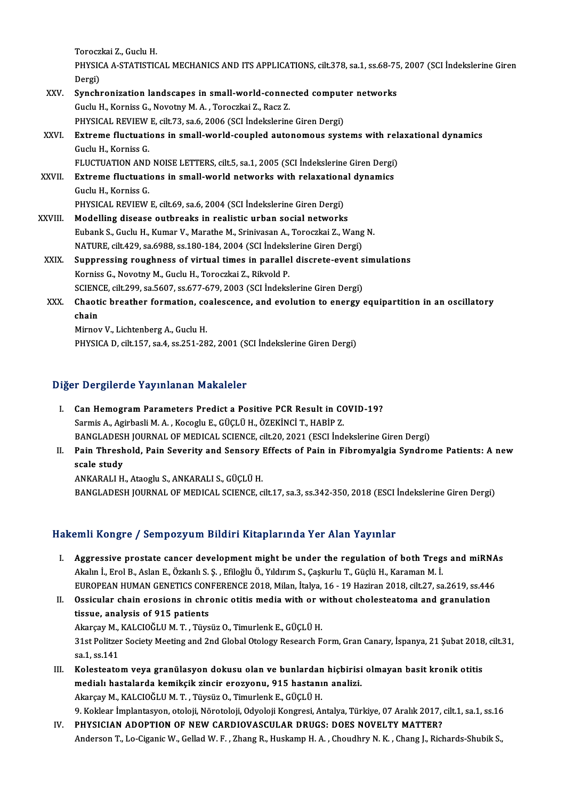**Toroczkai Z., Guclu H.<br>Toroczkai Z., Guclu H.**<br>PHYSICA A. STATISTIC

Toroczkai Z., Guclu H.<br>PHYSICA A-STATISTICAL MECHANICS AND ITS APPLICATIONS, cilt.378, sa.1, ss.68-75, 2007 (SCI İndekslerine Giren Torocz<br>PHYSIC<br>Dergi)<br>Sunghi PHYSICA A-STATISTICAL MECHANICS AND ITS APPLICATIONS, cilt.378, sa.1, ss.68-75<br>Dergi)<br>XXV. Synchronization landscapes in small-world-connected computer networks<br>Cushi H. Kamiss G. Newstaw M.A. Tenestici 7, Begr 7

|             | Dergi)                                                                                           |
|-------------|--------------------------------------------------------------------------------------------------|
| XXV.        | Synchronization landscapes in small-world-connected computer networks                            |
|             | Guclu H., Korniss G., Novotny M. A., Toroczkai Z., Racz Z.                                       |
|             | PHYSICAL REVIEW E, cilt.73, sa.6, 2006 (SCI Indekslerine Giren Dergi)                            |
| XXVI.       | Extreme fluctuations in small-world-coupled autonomous systems with relaxational dynamics        |
|             | Guclu H., Korniss G.                                                                             |
|             | FLUCTUATION AND NOISE LETTERS, cilt.5, sa.1, 2005 (SCI Indekslerine Giren Dergi)                 |
| XXVII.      | Extreme fluctuations in small-world networks with relaxational dynamics                          |
|             | Guclu H., Korniss G.                                                                             |
|             | PHYSICAL REVIEW E, cilt.69, sa.6, 2004 (SCI Indekslerine Giren Dergi)                            |
| XXVIII.     | Modelling disease outbreaks in realistic urban social networks                                   |
|             | Eubank S., Guclu H., Kumar V., Marathe M., Srinivasan A., Toroczkai Z., Wang N.                  |
|             | NATURE, cilt 429, sa.6988, ss.180-184, 2004 (SCI Indekslerine Giren Dergi)                       |
| <b>XXIX</b> | Suppressing roughness of virtual times in parallel discrete-event simulations                    |
|             | Korniss G., Novotny M., Guclu H., Toroczkai Z., Rikvold P.                                       |
|             | SCIENCE, cilt.299, sa.5607, ss.677-679, 2003 (SCI Indekslerine Giren Dergi)                      |
| XXX.        | Chaotic breather formation, coalescence, and evolution to energy equipartition in an oscillatory |
|             | chain                                                                                            |
|             | Mirnov V., Lichtenberg A., Guclu H.                                                              |
|             | PHYSICA D, cilt.157, sa.4, ss.251-282, 2001 (SCI Indekslerine Giren Dergi)                       |
|             |                                                                                                  |

# Diğer Dergilerde Yayınlanan Makaleler

- Iğer Dergilerde Yayınlanan Makaleler<br>I. Can Hemogram Parameters Predict a Positive PCR Result in COVID-19?<br>Sarmis A. Agirbasli M.A. Kassalu E. Cüçi ü u. Özevinci T. HARİD Z Sarmis A., Agirbasli M.A., Kocoglu E., GÜÇLÜ H., ÖZEKİNCİ T., HABİP Z.<br>Sarmis A., Agirbasli M.A., Kocoglu E., GÜÇLÜ H., ÖZEKİNCİ T., HABİP Z.<br>RANÇI ADESH JOURNAL OF MEDICAL SCIENCE, 611-20, 2021 (ESCI İnd Sarmis A., Agirbasli M. A. , Kocoglu E., GÜÇLÜ H., ÖZEKİNCİ T., HABİP Z.<br>BANGLADESH JOURNAL OF MEDICAL SCIENCE, cilt.20, 2021 (ESCI İndekslerine Giren Dergi) Sarmis A., Agirbasli M. A. , Kocoglu E., GÜÇLÜ H., ÖZEKİNCİ T., HABİP Z.<br>BANGLADESH JOURNAL OF MEDICAL SCIENCE, cilt.20, 2021 (ESCI İndekslerine Giren Dergi)<br>II. Pain Threshold, Pain Severity and Sensory Effects of Pai
- **BANGLADES**<br>**Pain Thresh**<br>scale study<br>ANKARALLH Pain Threshold, Pain Severity and Sensory |<br>scale study<br>ANKARALI H., Ataoglu S., ANKARALI S., GÜÇLÜ H.<br>BANCI ADESH JOURNAL OF MEDICAL SCIENCE S

scale study<br>ANKARALI H., Ataoglu S., ANKARALI S., GÜÇLÜ H.<br>BANGLADESH JOURNAL OF MEDICAL SCIENCE, cilt.17, sa.3, ss.342-350, 2018 (ESCI İndekslerine Giren Dergi)

# Hakemli Kongre / Sempozyum Bildiri Kitaplarında Yer Alan Yayınlar

- akemli Kongre / Sempozyum Bildiri Kitaplarında Yer Alan Yayınlar<br>I. Aggressive prostate cancer development might be under the regulation of both Tregs and miRNAs<br>Akalp LErel B. Aslan E. Özkanlı S. S. Efiloğlu Ö. Vıldırım S Akalın İ. Sangi o 7 Sompoziyanı: Siran'ı incaptarında 1 or firan Taymar<br>Aggressive prostate cancer development might be under the regulation of both Treg.<br>Akalın İ., Erol B., Aslan E., Özkanlı S. Ş. , Efiloğlu Ö., Yıldırım Aggressive prostate cancer development might be under the regulation of both Tregs and miRNA<br>Akalın İ., Erol B., Aslan E., Özkanlı S. Ş. , Efiloğlu Ö., Yıldırım S., Çaşkurlu T., Güçlü H., Karaman M. İ.<br>EUROPEAN HUMAN GENET Akalın İ., Erol B., Aslan E., Özkanlı S. Ş. , Efiloğlu Ö., Yıldırım S., Çaşkurlu T., Güçlü H., Karaman M. İ.<br>EUROPEAN HUMAN GENETICS CONFERENCE 2018, Milan, İtalya, 16 - 19 Haziran 2018, cilt.27, sa.2619, ss.446<br>II. Ossicu
- EUROPEAN HUMAN GENETICS CON<br>Ossicular chain erosions in chro<br>tissue, analysis of 915 patients<br>Algrequ M, KALCIOČLUM T, Tüve Ossicular chain erosions in chronic otitis media with or w<br>tissue, analysis of 915 patients<br>Akarçay M., KALCIOĞLU M.T., Tüysüz O., Timurlenk E., GÜÇLÜ H.<br>21st Politzer Sosiety Mesting and 2nd Clobal Otelegy Peseensh E

tissue, analysis of 915 patients<br>Akarçay M., KALCIOĞLU M. T. , Tüysüz O., Timurlenk E., GÜÇLÜ H.<br>31st Politzer Society Meeting and 2nd Global Otology Research Form, Gran Canary, İspanya, 21 Şubat 2018, cilt.31,<br>sa.1, ss.14 Akarçay M.,<br>31st Politzer<br>sa.1, ss.141<br>Kolesteate 31st Politzer Society Meeting and 2nd Global Otology Research Form, Gran Canary, İspanya, 21 Şubat 2018<br>sa.1, ss.141<br>III. Kolesteatom veya granülasyon dokusu olan ve bunlardan hiçbirisi olmayan basit kronik otitis<br>medial)

sa.1, ss.141<br>Kolesteatom veya granülasyon dokusu olan ve bunlardan hiçbirisi<br>medialı hastalarda kemikçik zincir erozyonu, 915 hastanın analizi.<br>Akarey M. KALGIQČLUM T. Tüygüz Q. Timurlank E. GÜÇLÜ H Kolesteatom veya granülasyon dokusu olan ve bunlardan<br>medialı hastalarda kemikçik zincir erozyonu, 915 hastanı<br>Akarçay M., KALCIOĞLU M.T., Tüysüz O., Timurlenk E., GÜÇLÜ H.<br>9. Koldean İmplantasyon eteleji Nöreteleji Odvele medialı hastalarda kemikçik zincir erozyonu, 915 hastanın analizi.<br>Akarçay M., KALCIOĞLU M. T. , Tüysüz O., Timurlenk E., GÜÇLÜ H.<br>9. Koklear İmplantasyon, otoloji, Nörotoloji, Odyoloji Kongresi, Antalya, Türkiye, 07 Aralı

IV. PHYSICIAN ADOPTION OF NEW CARDIOVASCULAR DRUGS: DOES NOVELTY MATTER? Anderson T., Lo-Ciganic W., Gellad W. F., Zhang R., Huskamp H. A., Choudhry N. K., Chang J., Richards-Shubik S.,